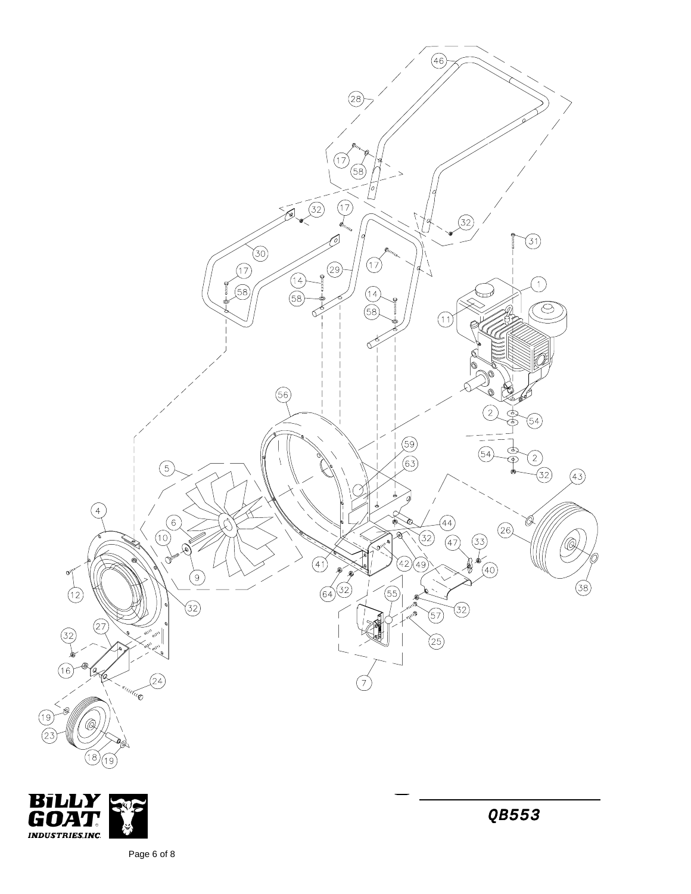



Page 6 of 8